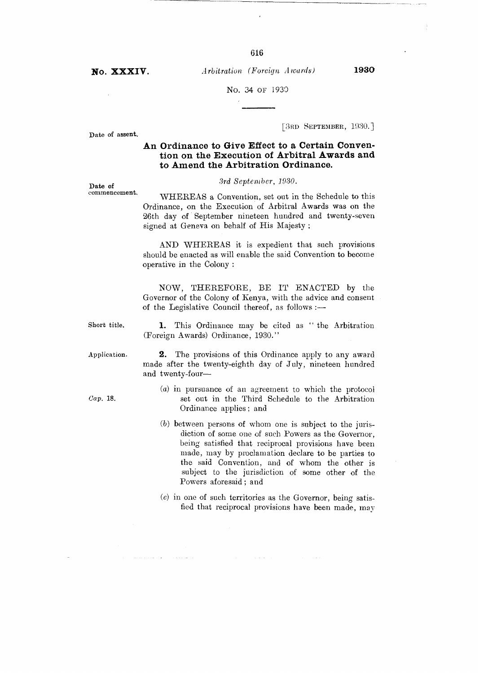No. XXXIV. *Arbitration (Foreign Awards)* 1930

616

No. 34 OF 1930

Date of assent,

[3RD SEPTEMBER, 1930.]

# **An Ordinance to Give Effect to a Certain Convention on the Execution of Arbitral Awards and to Amend the Arbitration Ordinance.**

*3rd September, 1930.* 

WHEREAS a Convention, set out in the Schedule to this Ordinance, on the Execution of Arbitral Awards was on the 26th day of September nineteen hundred and twenty-seven signed at Geneva on behalf of His Majesty ;

AND WHEREAS it is expedient that such provisions should be enacted as will enable the said Convention to become operative in the Colony :

NOW, THEREFORE, BE IT ENACTED by the Governor of the Colony of Kenya, with the advice and consent of the Legislative Council thereof, as follows :—

Short title. 1. This Ordinance may be cited as " the Arbitration (Foreign Awards) Ordinance, 1930."

Application. **2.** The provisions of this Ordinance apply to any award made after the twenty-eighth day of July, nineteen hundred and twenty-four—

- (a) in pursuance of an agreement to which the protocol Cap. 18. set out in the Third Schedule to the Arbitration Ordinance applies ; and
	- (b) between persons of whom one is subject to the jurisdiction of some one of such Powers as the Governor, being satisfied that reciprocal provisions have been made, may by proclamation declare to be parties to the said Convention, and of whom the other is subject to the jurisdiction of some other of the Powers aforesaid ; and
	- $(e)$  in one of such territories as the Governor, being satisfied that reciprocal provisions have been made, may

 $\Delta$  ,  $\Delta$  ,  $\Delta$ 

and a common

Date of commencement.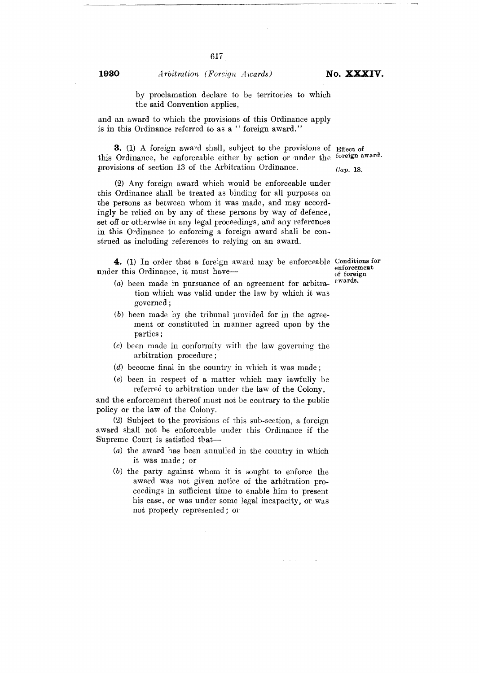**1930** *Arbitration (Foreign Awards)* **No. XXXIV.** 

by proclamation declare to be territories to which the said Convention applies,

and an award to which the provisions of this Ordinance apply is in this Ordinance referred to as a " foreign award."

3. (1) A foreign award shall, subject to the provisions of Effect of this Ordinance, be enforceable either by action or under the foreign award. provisions of section 13 of the Arbitration Ordinance.

*(lap.* 18.

(2) Any foreign award which would be enforceable under this Ordinance shall be treated as binding for all purposes on the persons as between whom it was made, and may accordingly be relied on by any of these persons by way of defence, set off or otherwise in any legal proceedings, and any references in this Ordinance to enforcing a foreign award shall be construed as including references to relying on an award.

4. (1) In order that a foreign award may be enforceable Conditions for under this Ordinance, it must have—

- (a) been made in pursuance of an agreement for arbitration which was valid under the law by which it was governed;
- (b) been made by the tribunal provided for in the agreement or constituted in manner agreed upon by the parties ;
- (c) been made in conformity with the law governing the arbitration procedure ;
- (d) become final in the country in which it was made ;
- (e) been in respect of a matter which may lawfully be referred to arbitration under the law of the Colony,

and the enforcement thereof must not be contrary to the public policy or the law of the Colony.

(2) Subject to the provisions of this sub-section, a foreign award shall not be enforceable under this Ordinance if the Supreme Court is satisfied that—

- (a) the award has been annulled in the country in which it was made ; or
- (b) the party against whom it is sought to enforce the award was not given notice of the arbitration proceedings in sufficient time to enable him to present his case, or was under some legal incapacity, or was not properly represented; or

 $\sim$   $\sim$ 

enforcement of foreign awards.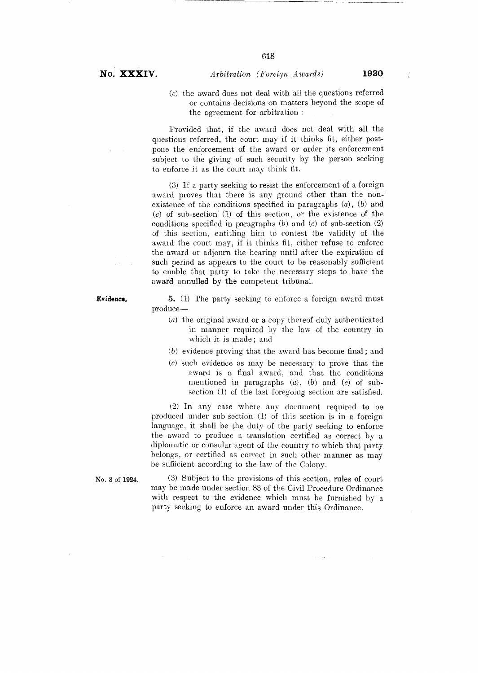# *NO. XXXIV. Arbitration (Foreign Awards)* **<sup>1930</sup>**

*(c)* the award does not deal with all the questions referred or contains decisions on matters beyond the scope of the agreement for arbitration :

Provided that, if the award does not deal with all the questions referred, the court may if it thinks fit, either postpone the enforcement of the award or order its enforcement subject to the giving of such security by the person seeking to enforce it as the court may think fit.

(3) If a party seeking to resist the enforcement of a foreign award proves that there is any ground other than the nonexistence of the conditions specified in paragraphs  $(a)$ ,  $(b)$  and *(c)* of sub-section' (1) of this section, or the existence of the conditions specified in paragraphs *(b)* and *(c)* of sub-section (2) of this section, entitling him to contest the validity of the award the court may, if it thinks fit, either refuse to enforce the award or adjourn the hearing until after the expiration of such period as appears to the court to be reasonably sufficient to enable that party to take the necessary steps to have the award annulled by the competent tribunal.

Evidence. 5. (1) The party seeking to enforce a foreign award must produce—

- (a) the original award or a copy thereof duly authenticated in manner required by the law of the country in which it is made ; and
- (b) evidence proving that the award has become final ; and
- (c) such evidence as may be necessary to prove that the award is a final award, and that the conditions mentioned in paragraphs (a), (b) and *(c)* of subsection **(1)** of the last foregoing section are satisfied.

**(2)** In any case where any document required to be produced under sub-section **(1)** of this section is in a foreign language, it shall be the duty of the party seeking to enforce the award to produce a translation certified as correct by a diplomatic or consular agent of the country to which that party belongs, or certified as correct in such other manner as may be sufficient according to the law of the Colony.

No. 3 of 1924. (3) Subject to the provisions of this section, rules of court may be made under section 83 of the Civil Procedure Ordinance with respect to the evidence which must be furnished by a party seeking to enforce an award under this Ordinance.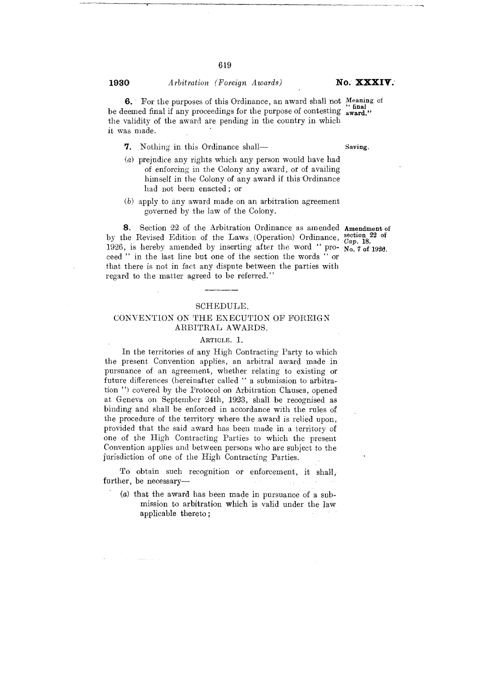it was made.

## **<sup>1930</sup>***Arbitration (Foreign Awards) NO XXXIV*.

**6.** For the purposes of this Ordinance, an award shall not Meaning of be deemed final if any proceedings for the purpose of contesting award." the validity of the award are pending in the country in which

**7.** Nothing in this Ordinance shall— Saving.

- (a) prejudice any rights which any person would have had of enforcing in the Colony any award, or of availing himself in the Colony of any award if this'Ordinance had not been enacted ; or
- (b) apply to any award made on an arbitration agreement governed by the law of the Colony.

**8.** Section 22 of the Arbitration Ordinance as amended Amendment of by the Revised Edition of the Laws (Operation) Ordinance, section 22 of 1926, is hereby amended by inserting after the word " pro- $N_0$ ,  $7$  of 1926. ceed " in the last line but one of the section the words " or that there is not in fact any dispute between the parties with regard to the matter agreed to be referred."

Cap. 18.

#### SCHEDULE.

# CONVENTION ON THE EXECUTION OF FOREIGN ARBITRAL AWARDS.

#### ARTICLE. 1.

In the territories of any High Contracting Party to which the present Convention applies, an arbitral award made in pursuance of an agreement, whether relating to existing or future differences (hereinafter called " a submission to arbitration ") covered by the Protocol on Arbitration Clauses, opened at Geneva on September 24th, 1923, shall be recognised as binding and shall be enforced in accordance with the rules of the procedure of the territory where the award is relied upon, provided that the said award has been made in a territory of one of the High Contracting Parties to which the present Convention applies and between persons who are subject to the jurisdiction of one of the High Contracting Parties.

To obtain such recognition or enforcement, it shall, further, be necessary—

(a) that the award has been made in pursuance of a submission to arbitration which is valid under the law applicable thereto ;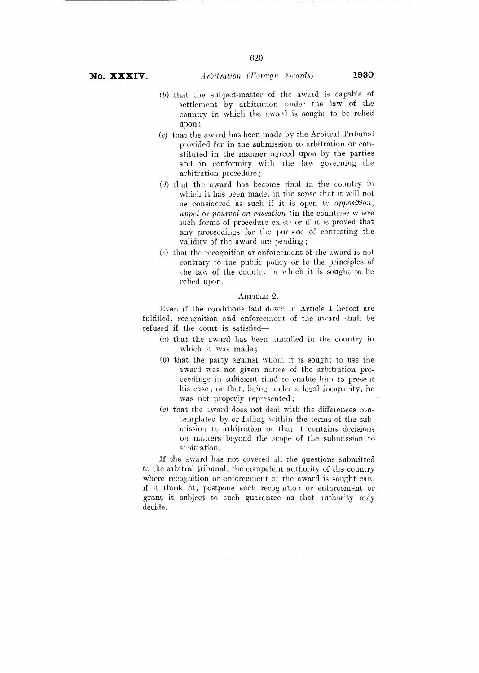- (b) that the subject-matter of the award is capable of settlement by arbitration under the law of the country in which the award is sought to be relied upon;
- (c) that the award has been made by the Arbitral Tribunal provided for in the submission to arbitration or constituted in the manner agreed upon by the parties and in conformity with the law governing the arbitration procedure ;
- (d) that the award has become final in the country in which it has been made, in the sense that it will not be considered as such if it is open to *opposition, appel* or *pourvoi en cassation* (in the countries where such forms of procedure exist) or if it is proved that any proceedings for the purpose of contesting the validity of the award are pending ;
- *(c)* that the recognition or enforcement of the award is not contrary to the public policy or to the principles of the law of the country in which it is sought to be relied upon.

#### ARTICLE 2.

Even if the conditions laid down in Article 1 hereof are fulfilled, recognition and enforcement of the award shall be refused if the court is satisfied—

- (a) that the award has been annulled in the country in which it was made ;
- (b) that the party against whom it is sought to use the award was not given notice of the arbitration proceedings in sufficient time to enable him to present his case ; or that, being under a legal incapacity, he was not properly represented ;
- (c) that the award does not deal with the differences contemplated by or falling within the terms of the submission to arbitration or that it contains decisions on matters beyond the scope of the submission to arbitration.

If the award has not covered all the questions submitted to the arbitral tribunal, the competent authority of the country where recognition or enforcement of the award is sought can, if it think fit, postpone such recognition or enforcement or grant it subject to such guarantee as that authority may decide.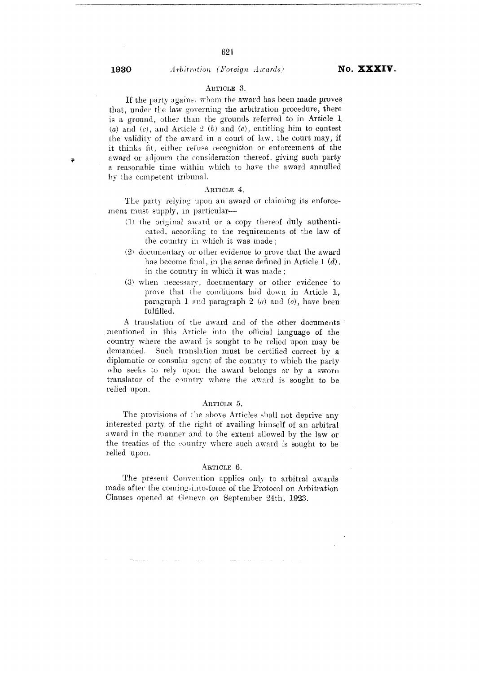## <sup>1930</sup>*arbitration (Foreign Awards' No. XXXIV*.

## ARTICLE 3.

If the party against whom the award has been made proves that, under the law governing the arbitration procedure, there is a ground, other than the grounds referred to in Article 1 *(a)* and *(0,* and Article 2 *(b)* and *(c),* entitling him to contest the validity of the award in a court of law, the court may, if it thinks fit, either refuse recognition or enforcement of the award or adjourn the consideration thereof, giving such party a reasonable time within which to have the award annulled by the competent tribunal.

## ARTICLE 4.

The party relying upon an award or claiming its enforcement must supply, in particular—

- (1) the original award or a copy thereof duly authenticated, according to the requirements of the law of the country in which it was made ;
- (2) documentary or other evidence to prove that the award has become final, in the sense defined in Article 1 *(d).*  in the country in which it was made ;
- (3) when necessary, documentary or other evidence to prove that the conditions laid down in Article 1, paragraph I. and paragraph 2 *(a)* and *(e),* have been fulfilled.

A translation of the award and of the other documents mentioned in this Article into the official language of the country where the award is sought to be relied upon may be demanded. Such translation must be certified correct by a diplomatic or consular agent of the country to which the party who seeks to rely 'upon the award belongs or by a sworn translator of the country where the award is sought to be relied upon.

### ARTICLE 5.

The provisions of the above Articles shall not deprive any interested party of the right of availing himself of an arbitral award in the manner and to the extent allowed by the law or the treaties of the country where such award is sought to be relied upon.

#### ARTICLE 6.

The present Convention applies only to arbitral awards made after the coming-into-force of the Protocol on Arbitration Clauses opened at Geneva on September 24th, 1923.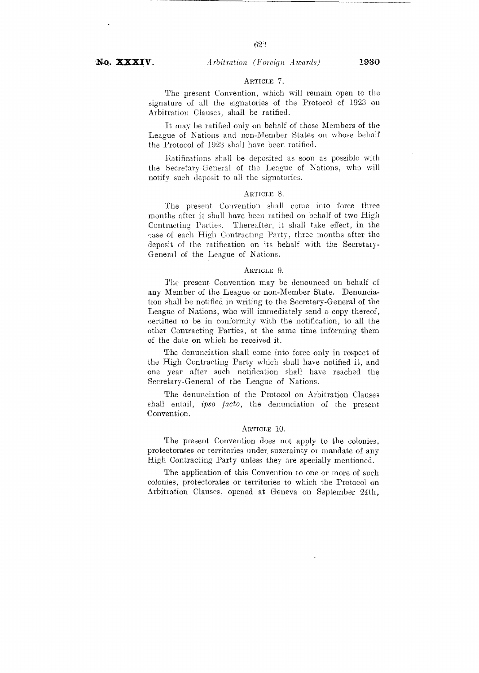# ARTICLE 7.

The present Convention, which will remain open to the signature of all the signatories of the Protocol of 1923 on Arbitration Clauses, shall be ratified.

It may be ratified only on behalf of those Members of the League of Nations and non-Member States on whose behalf the Protocol of 1923 shall have been ratified.

Ratifications shall be deposited as soon as possible with the Secretary-General of the League of Nations, who will notify such deposit to all the signatories.

### ARTICLE S.

The present Convention shall come into force three months after it shall have been ratified on behalf of two High Contracting Parties. Thereafter, it shall take effect, in the case of each High Contracting Party, three months after the deposit of the ratification on its behalf with the Secretary-General of the League of Nations.

#### ARTICLE 9.

The present Convention may be denounced on behalf of any Member of the League or non-Member State. Denunciation shall be notified in writing to the Secretary-General of the League of Nations, who will immediately send a copy thereof, certified to be in conformity with the notification, to all the other Contracting Parties, at the same time informing them of the date on which he received it.

The denunciation shall come into force only in respect of the High Contracting Party which shall have notified it, and one year after such notification shall have reached the Secretary-General of the League of Nations.

The denunciation of the Protocol on Arbitration Clauses shall entail, *ipso facto,* the denunciation of the present Convention.

### ARTICLE 10.

The present Convention does not apply to the colonies, protectorates or territories under suzerainty or mandate of any High Contracting Party unless they are specially mentioned.

The application of this Convention to one or more of such colonies, protectorates or territories to which the Protocol on Arbitration Clauses, opened at Geneva on September 24th,